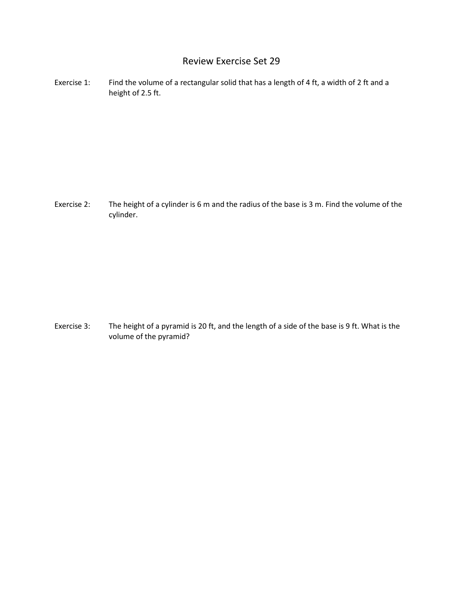## Review Exercise Set 29

Exercise 1: Find the volume of a rectangular solid that has a length of 4 ft, a width of 2 ft and a height of 2.5 ft.

Exercise 2: The height of a cylinder is 6 m and the radius of the base is 3 m. Find the volume of the cylinder.

Exercise 3: The height of a pyramid is 20 ft, and the length of a side of the base is 9 ft. What is the volume of the pyramid?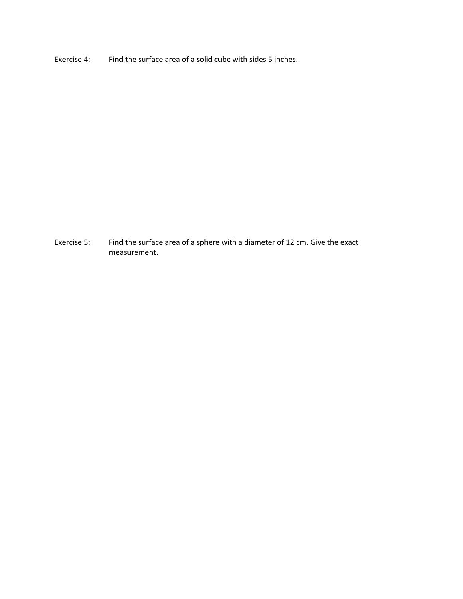Exercise 4: Find the surface area of a solid cube with sides 5 inches.

Exercise 5: Find the surface area of a sphere with a diameter of 12 cm. Give the exact measurement.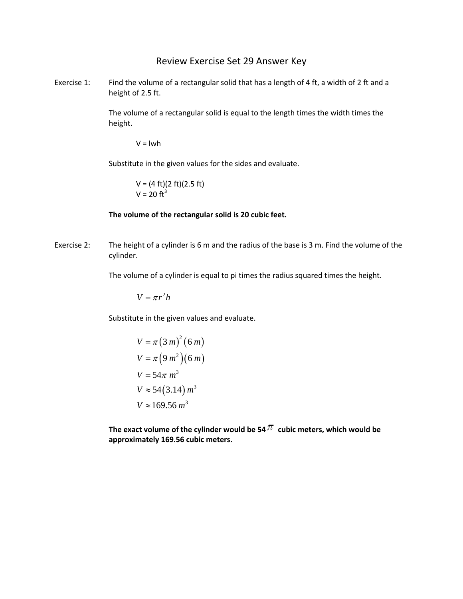## Review Exercise Set 29 Answer Key

Exercise 1: Find the volume of a rectangular solid that has a length of 4 ft, a width of 2 ft and a height of 2.5 ft.

> The volume of a rectangular solid is equal to the length times the width times the height.

 $V = Iwh$ 

Substitute in the given values for the sides and evaluate.

 $V = (4 \text{ ft})(2 \text{ ft})(2.5 \text{ ft})$  $V = 20$  ft<sup>3</sup>

## **The volume of the rectangular solid is 20 cubic feet.**

Exercise 2: The height of a cylinder is 6 m and the radius of the base is 3 m. Find the volume of the cylinder.

The volume of a cylinder is equal to pi times the radius squared times the height.

$$
V = \pi r^2 h
$$

Substitute in the given values and evaluate.

$$
V = \pi (3 m)^{2} (6 m)
$$
  
\n
$$
V = \pi (9 m^{2}) (6 m)
$$
  
\n
$$
V = 54 \pi m^{3}
$$
  
\n
$$
V \approx 54 (3.14) m^{3}
$$
  
\n
$$
V \approx 169.56 m^{3}
$$

The exact volume of the cylinder would be 54  $\pi$  cubic meters, which would be **approximately 169.56 cubic meters.**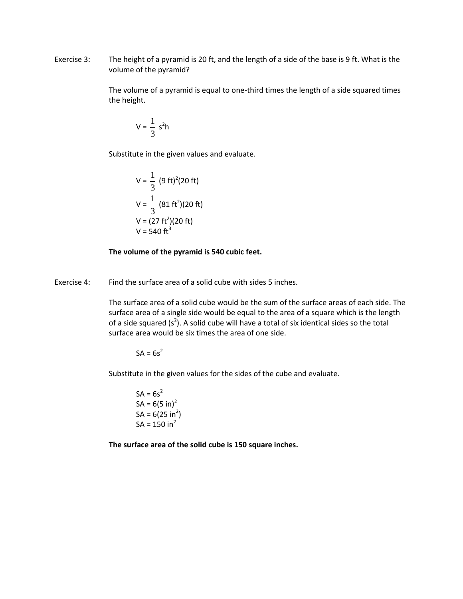Exercise 3: The height of a pyramid is 20 ft, and the length of a side of the base is 9 ft. What is the volume of the pyramid?

> The volume of a pyramid is equal to one-third times the length of a side squared times the height.

$$
V = \frac{1}{3} s^2 h
$$

Substitute in the given values and evaluate.

$$
V = \frac{1}{3} (9 \text{ ft})^2 (20 \text{ ft})
$$
  
\n
$$
V = \frac{1}{3} (81 \text{ ft}^2) (20 \text{ ft})
$$
  
\n
$$
V = (27 \text{ ft}^2) (20 \text{ ft})
$$
  
\n
$$
V = 540 \text{ ft}^3
$$

## **The volume of the pyramid is 540 cubic feet.**

Exercise 4: Find the surface area of a solid cube with sides 5 inches.

The surface area of a solid cube would be the sum of the surface areas of each side. The surface area of a single side would be equal to the area of a square which is the length of a side squared  $(s^2)$ . A solid cube will have a total of six identical sides so the total surface area would be six times the area of one side.

 $SA = 6s^2$ 

Substitute in the given values for the sides of the cube and evaluate.

 $SA = 6s^2$  $SA = 6(5 \text{ in})^2$  $SA = 6(25 in<sup>2</sup>)$  $SA = 150 in<sup>2</sup>$ 

**The surface area of the solid cube is 150 square inches.**